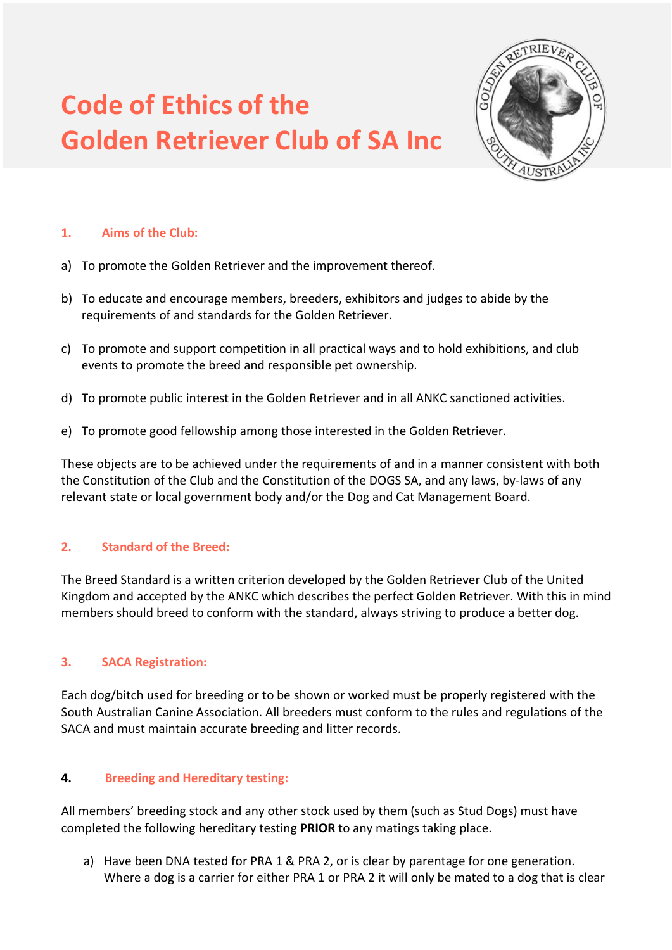# **Code of Ethics of the Golden Retriever Club of SA Inc**



## **1. Aims of the Club:**

- a) To promote the Golden Retriever and the improvement thereof.
- b) To educate and encourage members, breeders, exhibitors and judges to abide by the requirements of and standards for the Golden Retriever.
- c) To promote and support competition in all practical ways and to hold exhibitions, and club events to promote the breed and responsible pet ownership.
- d) To promote public interest in the Golden Retriever and in all ANKC sanctioned activities.
- e) To promote good fellowship among those interested in the Golden Retriever.

These objects are to be achieved under the requirements of and in a manner consistent with both the Constitution of the Club and the Constitution of the DOGS SA, and any laws, by-laws of any relevant state or local government body and/or the Dog and Cat Management Board.

## **2. Standard of the Breed:**

The Breed Standard is a written criterion developed by the Golden Retriever Club of the United Kingdom and accepted by the ANKC which describes the perfect Golden Retriever. With this in mind members should breed to conform with the standard, always striving to produce a better dog.

## **3. SACA Registration:**

Each dog/bitch used for breeding or to be shown or worked must be properly registered with the South Australian Canine Association. All breeders must conform to the rules and regulations of the SACA and must maintain accurate breeding and litter records.

## **4. Breeding and Hereditary testing:**

All members' breeding stock and any other stock used by them (such as Stud Dogs) must have completed the following hereditary testing **PRIOR** to any matings taking place.

a) Have been DNA tested for PRA 1 & PRA 2, or is clear by parentage for one generation. Where a dog is a carrier for either PRA 1 or PRA 2 it will only be mated to a dog that is clear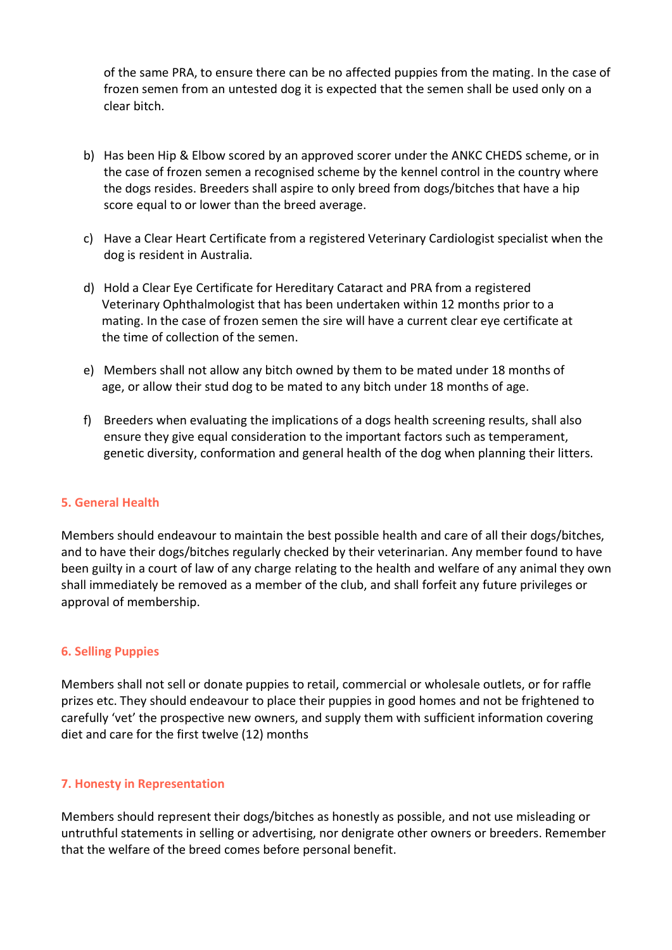of the same PRA, to ensure there can be no affected puppies from the mating. In the case of frozen semen from an untested dog it is expected that the semen shall be used only on a clear bitch.

- b) Has been Hip & Elbow scored by an approved scorer under the ANKC CHEDS scheme, or in the case of frozen semen a recognised scheme by the kennel control in the country where the dogs resides. Breeders shall aspire to only breed from dogs/bitches that have a hip score equal to or lower than the breed average.
- c) Have a Clear Heart Certificate from a registered Veterinary Cardiologist specialist when the dog is resident in Australia.
- d) Hold a Clear Eye Certificate for Hereditary Cataract and PRA from a registered Veterinary Ophthalmologist that has been undertaken within 12 months prior to a mating. In the case of frozen semen the sire will have a current clear eye certificate at the time of collection of the semen.
- e) Members shall not allow any bitch owned by them to be mated under 18 months of age, or allow their stud dog to be mated to any bitch under 18 months of age.
- f) Breeders when evaluating the implications of a dogs health screening results, shall also ensure they give equal consideration to the important factors such as temperament, genetic diversity, conformation and general health of the dog when planning their litters.

#### **5. General Health**

Members should endeavour to maintain the best possible health and care of all their dogs/bitches, and to have their dogs/bitches regularly checked by their veterinarian. Any member found to have been guilty in a court of law of any charge relating to the health and welfare of any animal they own shall immediately be removed as a member of the club, and shall forfeit any future privileges or approval of membership.

#### **6. Selling Puppies**

Members shall not sell or donate puppies to retail, commercial or wholesale outlets, or for raffle prizes etc. They should endeavour to place their puppies in good homes and not be frightened to carefully 'vet' the prospective new owners, and supply them with sufficient information covering diet and care for the first twelve (12) months

#### **7. Honesty in Representation**

Members should represent their dogs/bitches as honestly as possible, and not use misleading or untruthful statements in selling or advertising, nor denigrate other owners or breeders. Remember that the welfare of the breed comes before personal benefit.